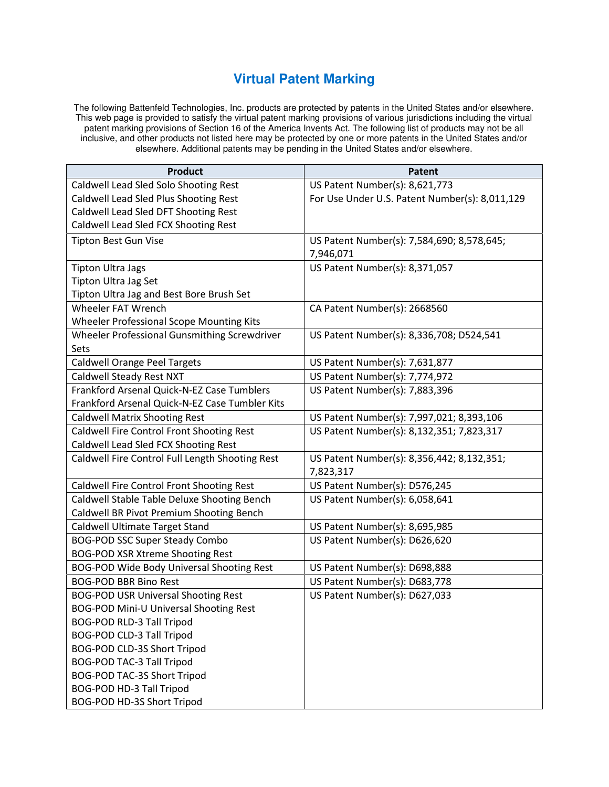## **Virtual Patent Marking**

The following Battenfeld Technologies, Inc. products are protected by patents in the United States and/or elsewhere. This web page is provided to satisfy the virtual patent marking provisions of various jurisdictions including the virtual patent marking provisions of Section 16 of the America Invents Act. The following list of products may not be all inclusive, and other products not listed here may be protected by one or more patents in the United States and/or elsewhere. Additional patents may be pending in the United States and/or elsewhere.

| <b>Product</b>                                  | <b>Patent</b>                                  |
|-------------------------------------------------|------------------------------------------------|
| Caldwell Lead Sled Solo Shooting Rest           | US Patent Number(s): 8,621,773                 |
| Caldwell Lead Sled Plus Shooting Rest           | For Use Under U.S. Patent Number(s): 8,011,129 |
| Caldwell Lead Sled DFT Shooting Rest            |                                                |
| Caldwell Lead Sled FCX Shooting Rest            |                                                |
| <b>Tipton Best Gun Vise</b>                     | US Patent Number(s): 7,584,690; 8,578,645;     |
|                                                 | 7,946,071                                      |
| <b>Tipton Ultra Jags</b>                        | US Patent Number(s): 8,371,057                 |
| Tipton Ultra Jag Set                            |                                                |
| Tipton Ultra Jag and Best Bore Brush Set        |                                                |
| <b>Wheeler FAT Wrench</b>                       | CA Patent Number(s): 2668560                   |
| Wheeler Professional Scope Mounting Kits        |                                                |
| Wheeler Professional Gunsmithing Screwdriver    | US Patent Number(s): 8,336,708; D524,541       |
| Sets                                            |                                                |
| <b>Caldwell Orange Peel Targets</b>             | US Patent Number(s): 7,631,877                 |
| Caldwell Steady Rest NXT                        | US Patent Number(s): 7,774,972                 |
| Frankford Arsenal Quick-N-EZ Case Tumblers      | US Patent Number(s): 7,883,396                 |
| Frankford Arsenal Quick-N-EZ Case Tumbler Kits  |                                                |
| <b>Caldwell Matrix Shooting Rest</b>            | US Patent Number(s): 7,997,021; 8,393,106      |
| Caldwell Fire Control Front Shooting Rest       | US Patent Number(s): 8,132,351; 7,823,317      |
| Caldwell Lead Sled FCX Shooting Rest            |                                                |
| Caldwell Fire Control Full Length Shooting Rest | US Patent Number(s): 8,356,442; 8,132,351;     |
|                                                 | 7,823,317                                      |
| Caldwell Fire Control Front Shooting Rest       | US Patent Number(s): D576,245                  |
| Caldwell Stable Table Deluxe Shooting Bench     | US Patent Number(s): 6,058,641                 |
| Caldwell BR Pivot Premium Shooting Bench        |                                                |
| Caldwell Ultimate Target Stand                  | US Patent Number(s): 8,695,985                 |
| <b>BOG-POD SSC Super Steady Combo</b>           | US Patent Number(s): D626,620                  |
| <b>BOG-POD XSR Xtreme Shooting Rest</b>         |                                                |
| BOG-POD Wide Body Universal Shooting Rest       | US Patent Number(s): D698,888                  |
| <b>BOG-POD BBR Bino Rest</b>                    | US Patent Number(s): D683,778                  |
| <b>BOG-POD USR Universal Shooting Rest</b>      | US Patent Number(s): D627,033                  |
| BOG-POD Mini-U Universal Shooting Rest          |                                                |
| BOG-POD RLD-3 Tall Tripod                       |                                                |
| <b>BOG-POD CLD-3 Tall Tripod</b>                |                                                |
| BOG-POD CLD-3S Short Tripod                     |                                                |
| <b>BOG-POD TAC-3 Tall Tripod</b>                |                                                |
| BOG-POD TAC-3S Short Tripod                     |                                                |
| BOG-POD HD-3 Tall Tripod                        |                                                |
| BOG-POD HD-3S Short Tripod                      |                                                |